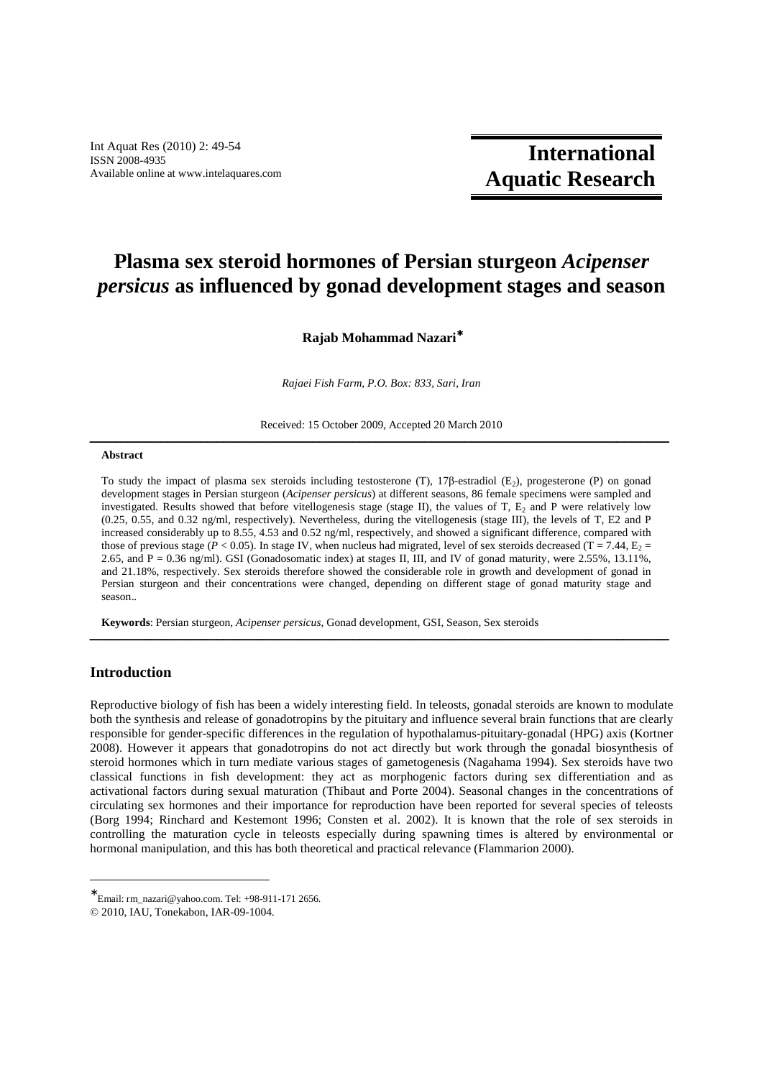Int Aquat Res (2010) 2: 49-54 ISSN 2008-4935 Available online at www.intelaquares.com

# **International Aquatic Research**

## **Plasma sex steroid hormones of Persian sturgeon** *Acipenser persicus* **as influenced by gonad development stages and season**

## **Rajab Mohammad Nazari**<sup>∗</sup>

*Rajaei Fish Farm, P.O. Box: 833, Sari, Iran* 

Received: 15 October 2009, Accepted 20 March 2010 ـــــــــــــــــــــــــــــــــــــــــــــــــــــــــــــــــــــــــــــــــــــــــــــــــــــــــــــــــــــــــــــــــــــــــــــــــــــــــــــــــــــــــــــــــــــــــــ

## **Abstract**

To study the impact of plasma sex steroids including testosterone (T), 17 $\beta$ -estradiol (E<sub>2</sub>), progesterone (P) on gonad development stages in Persian sturgeon (*Acipenser persicus*) at different seasons, 86 female specimens were sampled and investigated. Results showed that before vitellogenesis stage (stage II), the values of  $T$ ,  $E_2$  and  $P$  were relatively low (0.25, 0.55, and 0.32 ng/ml, respectively). Nevertheless, during the vitellogenesis (stage III), the levels of T, E2 and P increased considerably up to 8.55, 4.53 and 0.52 ng/ml, respectively, and showed a significant difference, compared with those of previous stage ( $P < 0.05$ ). In stage IV, when nucleus had migrated, level of sex steroids decreased (T = 7.44,  $E_2$  = 2.65, and P = 0.36 ng/ml). GSI (Gonadosomatic index) at stages II, III, and IV of gonad maturity, were 2.55%, 13.11%, and 21.18%, respectively. Sex steroids therefore showed the considerable role in growth and development of gonad in Persian sturgeon and their concentrations were changed, depending on different stage of gonad maturity stage and season..

ـــــــــــــــــــــــــــــــــــــــــــــــــــــــــــــــــــــــــــــــــــــــــــــــــــــــــــــــــــــــــــــــــــــــــــــــــــــــــــــــــــــــــــــــــــــــــــ

**Keywords**: Persian sturgeon, *Acipenser persicus*, Gonad development, GSI, Season, Sex steroids

## **Introduction**

-

Reproductive biology of fish has been a widely interesting field. In teleosts, gonadal steroids are known to modulate both the synthesis and release of gonadotropins by the pituitary and influence several brain functions that are clearly responsible for gender-specific differences in the regulation of hypothalamus-pituitary-gonadal (HPG) axis (Kortner 2008). However it appears that gonadotropins do not act directly but work through the gonadal biosynthesis of steroid hormones which in turn mediate various stages of gametogenesis (Nagahama 1994). Sex steroids have two classical functions in fish development: they act as morphogenic factors during sex differentiation and as activational factors during sexual maturation (Thibaut and Porte 2004). Seasonal changes in the concentrations of circulating sex hormones and their importance for reproduction have been reported for several species of teleosts (Borg 1994; Rinchard and Kestemont 1996; Consten et al. 2002). It is known that the role of sex steroids in controlling the maturation cycle in teleosts especially during spawning times is altered by environmental or hormonal manipulation, and this has both theoretical and practical relevance (Flammarion 2000).

<sup>∗</sup> Email: rm\_nazari@yahoo.com. Tel: +98-911-171 2656.

<sup>© 2010,</sup> IAU, Tonekabon, IAR-09-1004.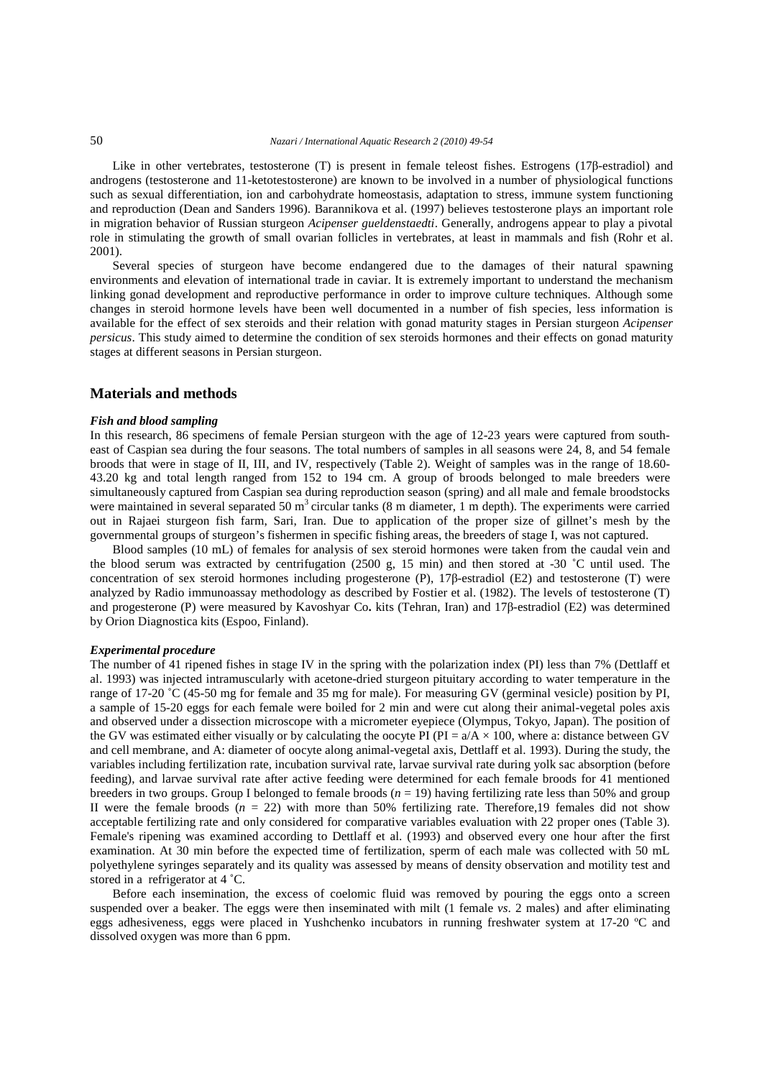## 50 *Nazari / International Aquatic Research 2 (2010) 49-54*

Like in other vertebrates, testosterone (T) is present in female teleost fishes. Estrogens (17β-estradiol) and androgens (testosterone and 11-ketotestosterone) are known to be involved in a number of physiological functions such as sexual differentiation, ion and carbohydrate homeostasis, adaptation to stress, immune system functioning and reproduction (Dean and Sanders 1996). Barannikova et al. (1997) believes testosterone plays an important role in migration behavior of Russian sturgeon *Acipenser gueldenstaedti*. Generally, androgens appear to play a pivotal role in stimulating the growth of small ovarian follicles in vertebrates, at least in mammals and fish (Rohr et al. 2001).

Several species of sturgeon have become endangered due to the damages of their natural spawning environments and elevation of international trade in caviar. It is extremely important to understand the mechanism linking gonad development and reproductive performance in order to improve culture techniques. Although some changes in steroid hormone levels have been well documented in a number of fish species, less information is available for the effect of sex steroids and their relation with gonad maturity stages in Persian sturgeon *Acipenser persicus*. This study aimed to determine the condition of sex steroids hormones and their effects on gonad maturity stages at different seasons in Persian sturgeon.

## **Materials and methods**

#### *Fish and blood sampling*

In this research, 86 specimens of female Persian sturgeon with the age of 12-23 years were captured from southeast of Caspian sea during the four seasons. The total numbers of samples in all seasons were 24, 8, and 54 female broods that were in stage of II, III, and IV, respectively (Table 2). Weight of samples was in the range of 18.60- 43.20 kg and total length ranged from 152 to 194 cm. A group of broods belonged to male breeders were simultaneously captured from Caspian sea during reproduction season (spring) and all male and female broodstocks were maintained in several separated 50 m<sup>3</sup> circular tanks (8 m diameter, 1 m depth). The experiments were carried out in Rajaei sturgeon fish farm, Sari, Iran. Due to application of the proper size of gillnet's mesh by the governmental groups of sturgeon's fishermen in specific fishing areas, the breeders of stage I, was not captured.

Blood samples (10 mL) of females for analysis of sex steroid hormones were taken from the caudal vein and the blood serum was extracted by centrifugation (2500 g, 15 min) and then stored at -30 ˚C until used. The concentration of sex steroid hormones including progesterone (P), 17β-estradiol (E2) and testosterone (T) were analyzed by Radio immunoassay methodology as described by Fostier et al. (1982). The levels of testosterone (T) and progesterone (P) were measured by Kavoshyar Co**.** kits (Tehran, Iran) and 17β-estradiol (E2) was determined by Orion Diagnostica kits (Espoo, Finland).

## *Experimental procedure*

The number of 41 ripened fishes in stage IV in the spring with the polarization index (PI) less than 7% (Dettlaff et al. 1993) was injected intramuscularly with acetone-dried sturgeon pituitary according to water temperature in the range of 17-20 ˚C (45-50 mg for female and 35 mg for male). For measuring GV (germinal vesicle) position by PI, a sample of 15-20 eggs for each female were boiled for 2 min and were cut along their animal-vegetal poles axis and observed under a dissection microscope with a micrometer eyepiece (Olympus, Tokyo, Japan). The position of the GV was estimated either visually or by calculating the oocyte PI (PI =  $a/A \times 100$ , where a: distance between GV and cell membrane, and A: diameter of oocyte along animal-vegetal axis, Dettlaff et al. 1993). During the study, the variables including fertilization rate, incubation survival rate, larvae survival rate during yolk sac absorption (before feeding), and larvae survival rate after active feeding were determined for each female broods for 41 mentioned breeders in two groups. Group I belonged to female broods (*n* = 19) having fertilizing rate less than 50% and group II were the female broods  $(n = 22)$  with more than 50% fertilizing rate. Therefore, 19 females did not show acceptable fertilizing rate and only considered for comparative variables evaluation with 22 proper ones (Table 3). Female's ripening was examined according to Dettlaff et al. (1993) and observed every one hour after the first examination. At 30 min before the expected time of fertilization, sperm of each male was collected with 50 mL polyethylene syringes separately and its quality was assessed by means of density observation and motility test and stored in a refrigerator at 4 ˚C.

Before each insemination, the excess of coelomic fluid was removed by pouring the eggs onto a screen suspended over a beaker. The eggs were then inseminated with milt (1 female *vs*. 2 males) and after eliminating eggs adhesiveness, eggs were placed in Yushchenko incubators in running freshwater system at 17-20 ºC and dissolved oxygen was more than 6 ppm.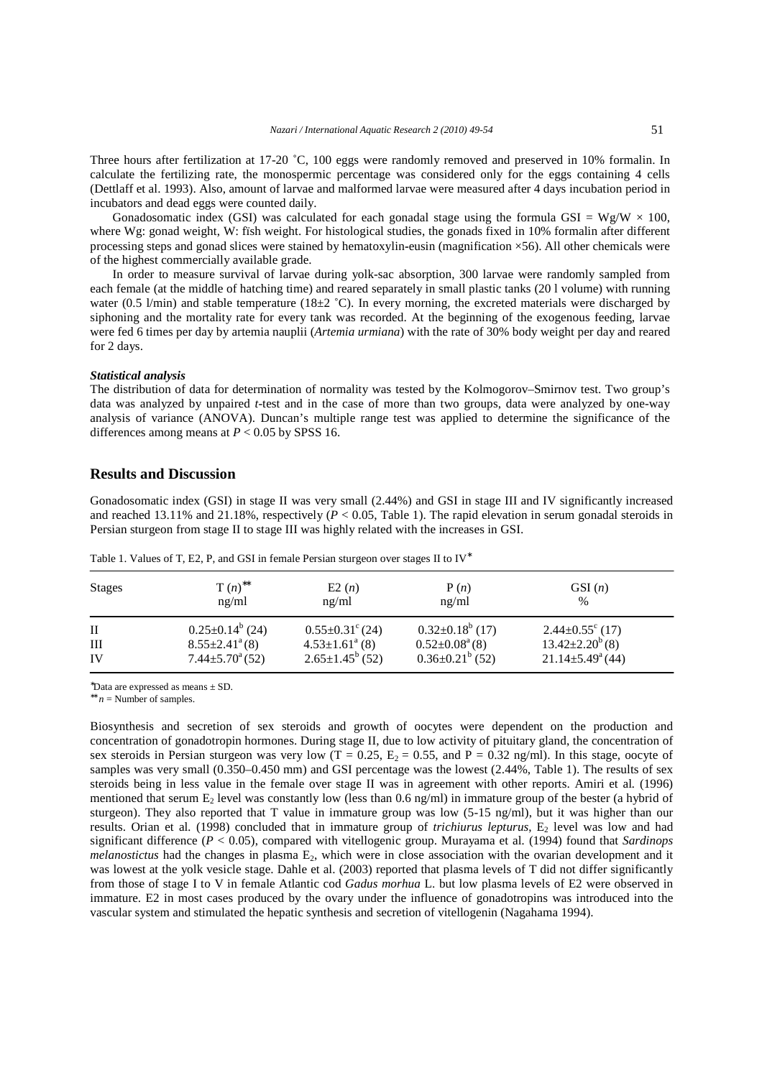Three hours after fertilization at 17-20 °C, 100 eggs were randomly removed and preserved in 10% formalin. In calculate the fertilizing rate, the monospermic percentage was considered only for the eggs containing 4 cells (Dettlaff et al. 1993). Also, amount of larvae and malformed larvae were measured after 4 days incubation period in incubators and dead eggs were counted daily.

Gonadosomatic index (GSI) was calculated for each gonadal stage using the formula GSI =  $Wg/W \times 100$ , where Wg: gonad weight, W: fish weight. For histological studies, the gonads fixed in 10% formalin after different processing steps and gonad slices were stained by hematoxylin**-**eusin (magnification ×56). All other chemicals were of the highest commercially available grade.

In order to measure survival of larvae during yolk-sac absorption, 300 larvae were randomly sampled from each female (at the middle of hatching time) and reared separately in small plastic tanks (20 l volume) with running water (0.5 l/min) and stable temperature (18 $\pm$ 2 °C). In every morning, the excreted materials were discharged by siphoning and the mortality rate for every tank was recorded. At the beginning of the exogenous feeding, larvae were fed 6 times per day by artemia nauplii (*Artemia urmiana*) with the rate of 30% body weight per day and reared for 2 days.

#### *Statistical analysis*

The distribution of data for determination of normality was tested by the Kolmogorov–Smirnov test. Two group's data was analyzed by unpaired *t*-test and in the case of more than two groups, data were analyzed by one-way analysis of variance (ANOVA). Duncan's multiple range test was applied to determine the significance of the differences among means at  $P < 0.05$  by SPSS 16.

#### **Results and Discussion**

Gonadosomatic index (GSI) in stage II was very small (2.44%) and GSI in stage III and IV significantly increased and reached 13.11% and 21.18%, respectively  $(P < 0.05$ . Table 1). The rapid elevation in serum gonadal steroids in Persian sturgeon from stage II to stage III was highly related with the increases in GSI.

| <b>Stages</b> | $T(n)^{**}$<br>ng/ml                                        | E2(n)<br>ng/ml                                        | P(n)<br>ng/ml                                           | GSI(n)<br>%                                               |  |
|---------------|-------------------------------------------------------------|-------------------------------------------------------|---------------------------------------------------------|-----------------------------------------------------------|--|
| П             | $0.25 \pm 0.14^b$ (24)                                      | $0.55 \pm 0.31^{\circ}$ (24)                          | $0.32 \pm 0.18^b$ (17)                                  | $2.44 \pm 0.55$ <sup>c</sup> (17)                         |  |
| Ш<br>IV       | $8.55 \pm 2.41^{\circ}$ (8)<br>$7.44 \pm 5.70^{\circ}$ (52) | $4.53 \pm 1.61^{\circ}$ (8)<br>$2.65 \pm 1.45^b$ (52) | $0.52 \pm 0.08^{\text{a}}(8)$<br>$0.36 \pm 0.21^b$ (52) | $13.42 \pm 2.20^{b}$ (8)<br>$21.14 \pm 5.49^{\circ}$ (44) |  |

Table 1. Values of T, E2, P, and GSI in female Persian sturgeon over stages II to IV<sup>\*</sup>

\*Data are expressed as means  $\pm$  SD.

∗∗ *n* = Number of samples.

Biosynthesis and secretion of sex steroids and growth of oocytes were dependent on the production and concentration of gonadotropin hormones. During stage II, due to low activity of pituitary gland, the concentration of sex steroids in Persian sturgeon was very low (T = 0.25, E<sub>2</sub> = 0.55, and P = 0.32 ng/ml). In this stage, oocyte of samples was very small (0.350–0.450 mm) and GSI percentage was the lowest (2.44%, Table 1). The results of sex steroids being in less value in the female over stage II was in agreement with other reports. Amiri et al*.* (1996) mentioned that serum  $E_2$  level was constantly low (less than 0.6 ng/ml) in immature group of the bester (a hybrid of sturgeon). They also reported that T value in immature group was low (5-15 ng/ml), but it was higher than our results. Orian et al. (1998) concluded that in immature group of *trichiurus lepturus*, E<sub>2</sub> level was low and had significant difference (*P* < 0.05), compared with vitellogenic group. Murayama et al*.* (1994) found that *Sardinops melanostictus* had the changes in plasma  $E_2$ , which were in close association with the ovarian development and it was lowest at the yolk vesicle stage. Dahle et al. (2003) reported that plasma levels of T did not differ significantly from those of stage I to V in female Atlantic cod *Gadus morhua* L. but low plasma levels of E2 were observed in immature. E2 in most cases produced by the ovary under the influence of gonadotropins was introduced into the vascular system and stimulated the hepatic synthesis and secretion of vitellogenin (Nagahama 1994).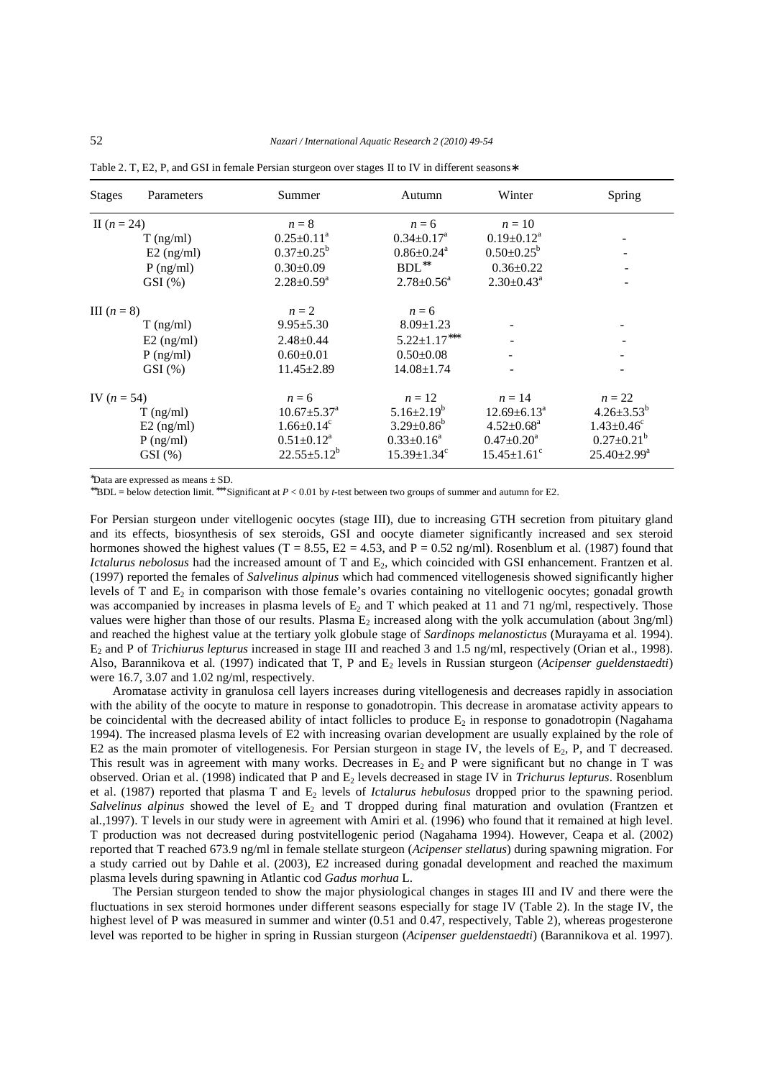| <b>Stages</b> | Parameters   | Summer                        | Autumn                        | Winter                     | Spring                       |
|---------------|--------------|-------------------------------|-------------------------------|----------------------------|------------------------------|
| II $(n = 24)$ |              | $n=8$                         | $n = 6$                       | $n=10$                     |                              |
|               | $T$ (ng/ml)  | $0.25 \pm 0.11^a$             | $0.34 \pm 0.17^a$             | $0.19 \pm 0.12^a$          |                              |
|               | $E2$ (ng/ml) | $0.37 \pm 0.25^b$             | $0.86 \pm 0.24$ <sup>a</sup>  | $0.50 \pm 0.25^b$          |                              |
|               | $P$ (ng/ml)  | $0.30 \pm 0.09$               | $\mathrm{BDL}^{**}$           | $0.36 \pm 0.22$            |                              |
|               | $GSI(\%)$    | $2.28 \pm 0.59^{\text{a}}$    | $2.78 \pm 0.56^{\circ}$       | $2.30 \pm 0.43^a$          | ۰                            |
| III $(n=8)$   |              | $n=2$                         | $n = 6$                       |                            |                              |
|               | $T$ (ng/ml)  | $9.95 \pm 5.30$               | $8.09 \pm 1.23$               |                            |                              |
|               | $E2$ (ng/ml) | $2.48 \pm 0.44$               | $5.22 \pm 1.17***$            |                            |                              |
|               | $P$ (ng/ml)  | $0.60 \pm 0.01$               | $0.50 \pm 0.08$               |                            |                              |
|               | GSI(%)       | $11.45 \pm 2.89$              | $14.08 \pm 1.74$              |                            |                              |
| IV $(n = 54)$ |              | $n = 6$                       | $n=12$                        | $n=14$                     | $n=22$                       |
|               | $T$ (ng/ml)  | $10.67 \pm 5.37$ <sup>a</sup> | $5.16 \pm 2.19^b$             | $12.69 \pm 6.13^{\circ}$   | $4.26 \pm 3.53^b$            |
|               | $E2$ (ng/ml) | $1.66 \pm 0.14^c$             | $3.29 \pm 0.86^b$             | $4.52 \pm 0.68^a$          | $1.43 \pm 0.46$ <sup>c</sup> |
|               | $P$ (ng/ml)  | $0.51 \pm 0.12^a$             | $0.33 \pm 0.16^a$             | $0.47 \pm 0.20^{\text{a}}$ | $0.27 \pm 0.21^b$            |
|               | $GSI$ $(\%)$ | $22.55 \pm 5.12^b$            | $15.39 \pm 1.34$ <sup>c</sup> | $15.45 \pm 1.61^{\circ}$   | $25.40 \pm 2.99^{\text{a}}$  |

Table 2. T, E2, P, and GSI in female Persian sturgeon over stages II to IV in different seasons∗

<sup>∗</sup>Data are expressed as means ± SD.

∗∗BDL = below detection limit. ∗∗∗ Significant at *P* < 0.01 by *t*-test between two groups of summer and autumn for E2.

For Persian sturgeon under vitellogenic oocytes (stage III), due to increasing GTH secretion from pituitary gland and its effects, biosynthesis of sex steroids, GSI and oocyte diameter significantly increased and sex steroid hormones showed the highest values (T = 8.55, E2 = 4.53, and P = 0.52 ng/ml). Rosenblum et al. (1987) found that *Ictalurus nebolosus* had the increased amount of T and E<sub>2</sub>, which coincided with GSI enhancement. Frantzen et al. (1997) reported the females of *Salvelinus alpinus* which had commenced vitellogenesis showed significantly higher levels of T and  $E_2$  in comparison with those female's ovaries containing no vitellogenic oocytes; gonadal growth was accompanied by increases in plasma levels of  $E_2$  and T which peaked at 11 and 71 ng/ml, respectively. Those values were higher than those of our results. Plasma  $E_2$  increased along with the yolk accumulation (about 3ng/ml) and reached the highest value at the tertiary yolk globule stage of *Sardinops melanostictus* (Murayama et al*.* 1994). E2 and P of *Trichiurus lepturus* increased in stage III and reached 3 and 1.5 ng/ml, respectively (Orian et al., 1998). Also, Barannikova et al*.* (1997) indicated that T, P and E2 levels in Russian sturgeon (*Acipenser gueldenstaedti*) were 16.7, 3.07 and 1.02 ng/ml, respectively.

Aromatase activity in granulosa cell layers increases during vitellogenesis and decreases rapidly in association with the ability of the oocyte to mature in response to gonadotropin. This decrease in aromatase activity appears to be coincidental with the decreased ability of intact follicles to produce  $E_2$  in response to gonadotropin (Nagahama 1994). The increased plasma levels of E2 with increasing ovarian development are usually explained by the role of E2 as the main promoter of vitellogenesis. For Persian sturgeon in stage IV, the levels of  $E_2$ , P, and T decreased. This result was in agreement with many works. Decreases in  $E_2$  and P were significant but no change in T was observed. Orian et al. (1998) indicated that P and E2 levels decreased in stage IV in *Trichurus lepturus*. Rosenblum et al. (1987) reported that plasma T and E2 levels of *Ictalurus hebulosus* dropped prior to the spawning period. *Salvelinus alpinus* showed the level of E<sub>2</sub> and T dropped during final maturation and ovulation (Frantzen et al*.*,1997). T levels in our study were in agreement with Amiri et al. (1996) who found that it remained at high level. T production was not decreased during postvitellogenic period (Nagahama 1994). However, Ceapa et al. (2002) reported that T reached 673.9 ng/ml in female stellate sturgeon (*Acipenser stellatus*) during spawning migration. For a study carried out by Dahle et al. (2003), E2 increased during gonadal development and reached the maximum plasma levels during spawning in Atlantic cod *Gadus morhua* L.

The Persian sturgeon tended to show the major physiological changes in stages III and IV and there were the fluctuations in sex steroid hormones under different seasons especially for stage IV (Table 2). In the stage IV, the highest level of P was measured in summer and winter (0.51 and 0.47, respectively, Table 2), whereas progesterone level was reported to be higher in spring in Russian sturgeon (*Acipenser gueldenstaedti*) (Barannikova et al. 1997).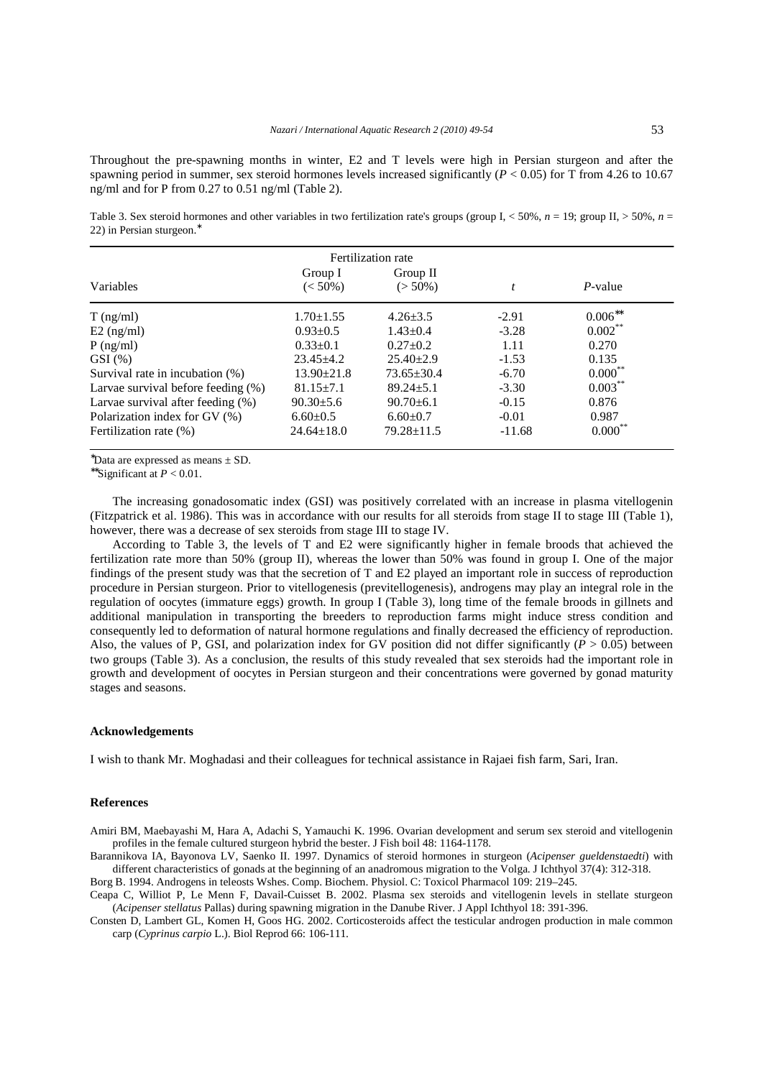Throughout the pre-spawning months in winter, E2 and T levels were high in Persian sturgeon and after the spawning period in summer, sex steroid hormones levels increased significantly (*P* < 0.05) for T from 4.26 to 10.67 ng/ml and for P from 0.27 to 0.51 ng/ml (Table 2).

Table 3. Sex steroid hormones and other variables in two fertilization rate's groups (group I, < 50%, *n* = 19; group II, > 50%, *n* = 22) in Persian sturgeon.<sup>∗</sup>

| Fertilization rate                    |                       |                        |                  |              |  |  |  |  |
|---------------------------------------|-----------------------|------------------------|------------------|--------------|--|--|--|--|
| Variables                             | Group I<br>$(< 50\%)$ | Group II<br>$(> 50\%)$ | $\boldsymbol{t}$ | $P$ -value   |  |  |  |  |
| $T$ (ng/ml)                           | $1.70 \pm 1.55$       | $4.26 \pm 3.5$         | $-2.91$          | $0.006^{**}$ |  |  |  |  |
| $E2$ (ng/ml)                          | $0.93 \pm 0.5$        | $1.43 + 0.4$           | $-3.28$          | $0.002***$   |  |  |  |  |
| $P$ (ng/ml)                           | $0.33+0.1$            | $0.27+0.2$             | 1.11             | 0.270        |  |  |  |  |
| $GSI$ $(\% )$                         | $23.45 + 4.2$         | $25.40 + 2.9$          | $-1.53$          | 0.135        |  |  |  |  |
| Survival rate in incubation (%)       | $13.90 \pm 21.8$      | $73.65 \pm 30.4$       | $-6.70$          | $0.000^{**}$ |  |  |  |  |
| Larvae survival before feeding $(\%)$ | $81.15 + 7.1$         | $89.24 \pm 5.1$        | $-3.30$          | $0.003***$   |  |  |  |  |
| Larvae survival after feeding (%)     | $90.30 \pm 5.6$       | $90.70 \pm 6.1$        | $-0.15$          | 0.876        |  |  |  |  |
| Polarization index for GV (%)         | $6.60 \pm 0.5$        | $6.60 \pm 0.7$         | $-0.01$          | 0.987        |  |  |  |  |
| Fertilization rate (%)                | $24.64 \pm 18.0$      | $79.28 \pm 11.5$       | $-11.68$         | $0.000***$   |  |  |  |  |

<sup>∗</sup>Data are expressed as means ± SD.

∗∗Significant at *P* < 0.01.

The increasing gonadosomatic index (GSI) was positively correlated with an increase in plasma vitellogenin (Fitzpatrick et al. 1986). This was in accordance with our results for all steroids from stage II to stage III (Table 1), however, there was a decrease of sex steroids from stage III to stage IV.

According to Table 3, the levels of T and E2 were significantly higher in female broods that achieved the fertilization rate more than 50% (group II), whereas the lower than 50% was found in group I. One of the major findings of the present study was that the secretion of T and E2 played an important role in success of reproduction procedure in Persian sturgeon. Prior to vitellogenesis (previtellogenesis), androgens may play an integral role in the regulation of oocytes (immature eggs) growth. In group I (Table 3), long time of the female broods in gillnets and additional manipulation in transporting the breeders to reproduction farms might induce stress condition and consequently led to deformation of natural hormone regulations and finally decreased the efficiency of reproduction. Also, the values of P, GSI, and polarization index for GV position did not differ significantly  $(P > 0.05)$  between two groups (Table 3). As a conclusion, the results of this study revealed that sex steroids had the important role in growth and development of oocytes in Persian sturgeon and their concentrations were governed by gonad maturity stages and seasons.

#### **Acknowledgements**

I wish to thank Mr. Moghadasi and their colleagues for technical assistance in Rajaei fish farm, Sari, Iran.

#### **References**

Amiri BM, Maebayashi M, Hara A, Adachi S, Yamauchi K. 1996. Ovarian development and serum sex steroid and vitellogenin profiles in the female cultured sturgeon hybrid the bester. J Fish boil 48: 1164-1178.

Barannikova IA, Bayonova LV, Saenko II. 1997. Dynamics of steroid hormones in sturgeon (*Acipenser gueldenstaedti*) with different characteristics of gonads at the beginning of an anadromous migration to the Volga. J Ichthyol 37(4): 312-318.

Borg B. 1994. Androgens in teleosts Wshes. Comp. Biochem. Physiol. C: Toxicol Pharmacol 109: 219–245. Ceapa C, Williot P, Le Menn F, Davail-Cuisset B. 2002. Plasma sex steroids and vitellogenin levels in stellate sturgeon

(*Acipenser stellatus* Pallas) during spawning migration in the Danube River. J Appl Ichthyol 18: 391-396. Consten D, Lambert GL, Komen H, Goos HG. 2002. Corticosteroids affect the testicular androgen production in male common carp (*Cyprinus carpio* L.). Biol Reprod 66: 106-111.